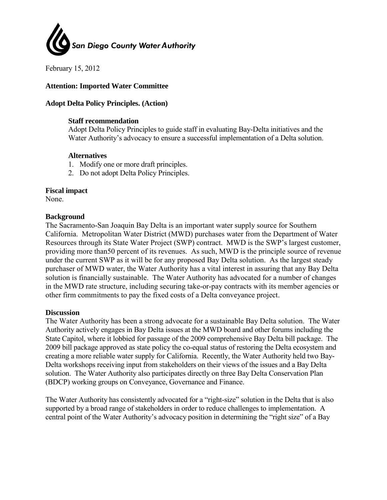

February 15, 2012

## **Attention: Imported Water Committee**

### **Adopt Delta Policy Principles. (Action)**

#### **Staff recommendation**

Adopt Delta Policy Principles to guide staff in evaluating Bay-Delta initiatives and the Water Authority's advocacy to ensure a successful implementation of a Delta solution.

#### **Alternatives**

- 1. Modify one or more draft principles.
- 2. Do not adopt Delta Policy Principles.

#### **Fiscal impact**

None.

#### **Background**

The Sacramento-San Joaquin Bay Delta is an important water supply source for Southern California. Metropolitan Water District (MWD) purchases water from the Department of Water Resources through its State Water Project (SWP) contract. MWD is the SWP's largest customer, providing more than50 percent of its revenues. As such, MWD is the principle source of revenue under the current SWP as it will be for any proposed Bay Delta solution. As the largest steady purchaser of MWD water, the Water Authority has a vital interest in assuring that any Bay Delta solution is financially sustainable. The Water Authority has advocated for a number of changes in the MWD rate structure, including securing take-or-pay contracts with its member agencies or other firm commitments to pay the fixed costs of a Delta conveyance project.

#### **Discussion**

The Water Authority has been a strong advocate for a sustainable Bay Delta solution. The Water Authority actively engages in Bay Delta issues at the MWD board and other forums including the State Capitol, where it lobbied for passage of the 2009 comprehensive Bay Delta bill package. The 2009 bill package approved as state policy the co-equal status of restoring the Delta ecosystem and creating a more reliable water supply for California. Recently, the Water Authority held two Bay-Delta workshops receiving input from stakeholders on their views of the issues and a Bay Delta solution. The Water Authority also participates directly on three Bay Delta Conservation Plan (BDCP) working groups on Conveyance, Governance and Finance.

The Water Authority has consistently advocated for a "right-size" solution in the Delta that is also supported by a broad range of stakeholders in order to reduce challenges to implementation. A central point of the Water Authority's advocacy position in determining the "right size" of a Bay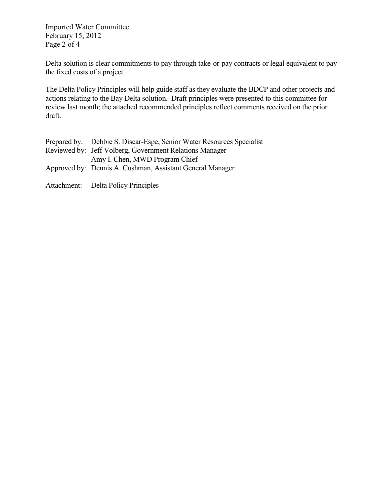Imported Water Committee February 15, 2012 Page 2 of 4

Delta solution is clear commitments to pay through take-or-pay contracts or legal equivalent to pay the fixed costs of a project.

The Delta Policy Principles will help guide staff as they evaluate the BDCP and other projects and actions relating to the Bay Delta solution. Draft principles were presented to this committee for review last month; the attached recommended principles reflect comments received on the prior draft.

| Prepared by: Debbie S. Discar-Espe, Senior Water Resources Specialist |
|-----------------------------------------------------------------------|
| Reviewed by: Jeff Volberg, Government Relations Manager               |
| Amy I. Chen, MWD Program Chief                                        |
| Approved by: Dennis A. Cushman, Assistant General Manager             |
|                                                                       |
| Attachment: Delta Policy Principles                                   |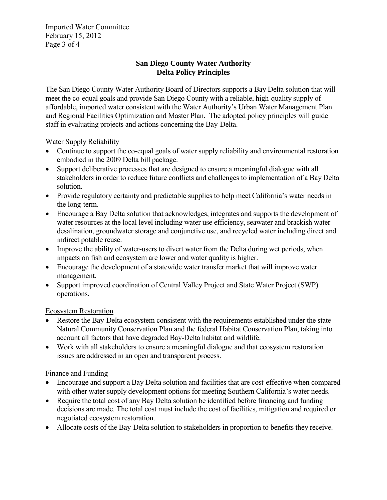Imported Water Committee February 15, 2012 Page 3 of 4

## **San Diego County Water Authority Delta Policy Principles**

The San Diego County Water Authority Board of Directors supports a Bay Delta solution that will meet the co-equal goals and provide San Diego County with a reliable, high-quality supply of affordable, imported water consistent with the Water Authority's Urban Water Management Plan and Regional Facilities Optimization and Master Plan. The adopted policy principles will guide staff in evaluating projects and actions concerning the Bay-Delta.

Water Supply Reliability

- Continue to support the co-equal goals of water supply reliability and environmental restoration embodied in the 2009 Delta bill package.
- Support deliberative processes that are designed to ensure a meaningful dialogue with all stakeholders in order to reduce future conflicts and challenges to implementation of a Bay Delta solution.
- Provide regulatory certainty and predictable supplies to help meet California's water needs in the long-term.
- Encourage a Bay Delta solution that acknowledges, integrates and supports the development of water resources at the local level including water use efficiency, seawater and brackish water desalination, groundwater storage and conjunctive use, and recycled water including direct and indirect potable reuse.
- Improve the ability of water-users to divert water from the Delta during wet periods, when impacts on fish and ecosystem are lower and water quality is higher.
- Encourage the development of a statewide water transfer market that will improve water management.
- Support improved coordination of Central Valley Project and State Water Project (SWP) operations.

## Ecosystem Restoration

- Restore the Bay-Delta ecosystem consistent with the requirements established under the state Natural Community Conservation Plan and the federal Habitat Conservation Plan, taking into account all factors that have degraded Bay-Delta habitat and wildlife.
- Work with all stakeholders to ensure a meaningful dialogue and that ecosystem restoration issues are addressed in an open and transparent process.

## Finance and Funding

- Encourage and support a Bay Delta solution and facilities that are cost-effective when compared with other water supply development options for meeting Southern California's water needs.
- Require the total cost of any Bay Delta solution be identified before financing and funding decisions are made. The total cost must include the cost of facilities, mitigation and required or negotiated ecosystem restoration.
- Allocate costs of the Bay-Delta solution to stakeholders in proportion to benefits they receive.